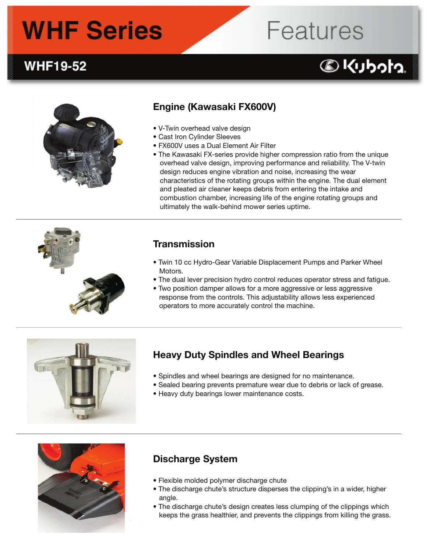# **WHF Series**

## **WHF19-52**

## Engine (Kawasaki FX600V)

- V-Twin overhead valve design
- Cast Iron Cylinder Sleeves
- FX600V uses a Dual Element Air Filter
- The Kawasaki FX-series provide higher compression ratio from the unique overhead valve design, improving performance and reliability. The V-twin design reduces engine vibration and noise, increasing the wear characteristics of the rotating groups within the engine. The dual element and pleated air cleaner keeps debris from entering the intake and combustion chamber, increasing life of the engine rotating groups and ultimately the walk-behind mower series uptime.

### Transmission

- Twin 10 cc Hydro-Gear Variable Displacement Pumps and Parker Wheel Motors.
- The dual lever precision hydro control reduces operator stress and fatigue.
- Two position damper allows for a more aggressive or less aggressive response from the controls. This adjustability allows less experienced operators to more accurately control the machine.



### Heavy Duty Spindles and Wheel Bearings

- Spindles and wheel bearings are designed for no maintenance.
- Sealed bearing prevents premature wear due to debris or lack of grease.
- Heavy duty bearings lower maintenance costs.



#### Discharge System

- Flexible molded polymer discharge chute
- The discharge chute's structure disperses the clipping's in a wider, higher angle.
- The discharge chute's design creates less clumping of the clippings which keeps the grass healthier, and prevents the clippings from killing the grass.





**DKUbota**